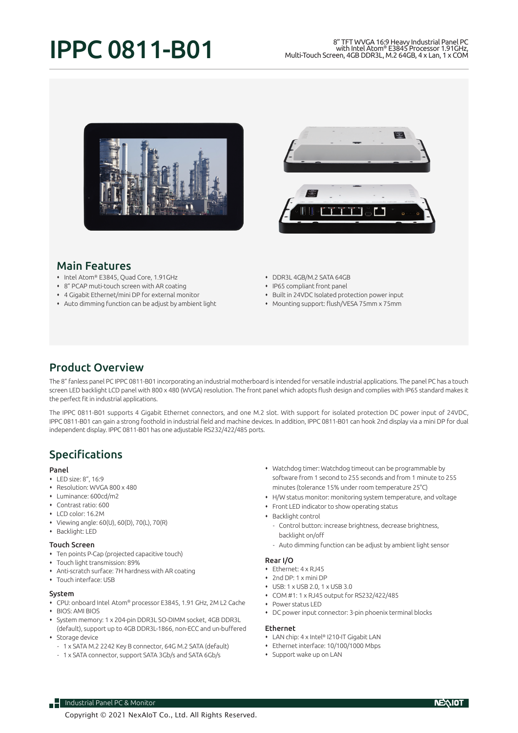# **IPPC 0811-B01** Multi-Touch Screen, 4GB DDR3L M2, 64GB, 4x Lan, 1x COM Multi-Touch Screen, 4GB DDR3L, M.2 64GB, 4 x Lan, 1 x COM





# Main Features

- Intel Atom® E3845, Quad Core, 1.91GHz
- 8" PCAP muti-touch screen with AR coating
- 4 Gigabit Ethernet/mini DP for external monitor
- Auto dimming function can be adjust by ambient light
- DDR3L 4GB/M.2 SATA 64GB
- IP65 compliant front panel
- Built in 24VDC Isolated protection power input
- Mounting support: flush/VESA 75mm x 75mm

# Product Overview

The 8" fanless panel PC IPPC 0811-B01 incorporating an industrial motherboard is intended for versatile industrial applications. The panel PC has a touch screen LED backlight LCD panel with 800 x 480 (WVGA) resolution. The front panel which adopts flush design and complies with IP65 standard makes it the perfect fit in industrial applications.

The IPPC 0811-B01 supports 4 Gigabit Ethernet connectors, and one M.2 slot. With support for isolated protection DC power input of 24VDC, IPPC 0811-B01 can gain a strong foothold in industrial field and machine devices. In addition, IPPC 0811-B01 can hook 2nd display via a mini DP for dual independent display. IPPC 0811-B01 has one adjustable RS232/422/485 ports.

# Specifications

## Panel

- LED size: 8", 16:9
- Resolution: WVGA 800 x 480
- Luminance: 600cd/m2
- Contrast ratio: 600
- $\cdot$  LCD color: 16.2M
- Viewing angle: 60(U), 60(D), 70(L), 70(R)
- Backlight: LED

## Touch Screen

- Ten points P-Cap (projected capacitive touch)
- Touch light transmission: 89%
- Anti-scratch surface: 7H hardness with AR coating
- Touch interface: USB

## System

- CPU: onboard Intel Atom® processor E3845, 1.91 GHz, 2M L2 Cache
- BIOS: AMI BIOS
- System memory: 1 x 204-pin DDR3L SO-DIMM socket, 4GB DDR3L
- (default), support up to 4GB DDR3L-1866, non-ECC and un-buffered Storage device
	- 1 x SATA M.2 2242 Key B connector, 64G M.2 SATA (default)
	- 1 x SATA connector, support SATA 3Gb/s and SATA 6Gb/s
- Watchdog timer: Watchdog timeout can be programmable by software from 1 second to 255 seconds and from 1 minute to 255 minutes (tolerance 15% under room temperature 25°C)
- H/W status monitor: monitoring system temperature, and voltage
- Front LED indicator to show operating status
- Backlight control
- Control button: increase brightness, decrease brightness, backlight on/off
- Auto dimming function can be adjust by ambient light sensor

## Rear I/O

- Ethernet: 4 x RJ45
- 2nd DP: 1 x mini DP
- USB: 1 x USB 2.0, 1 x USB 3.0
- COM #1: 1 x RJ45 output for RS232/422/485
- Power status LED
- DC power input connector: 3-pin phoenix terminal blocks

#### Ethernet

- LAN chip: 4 x Intel® I210-IT Gigabit LAN
- Ethernet interface: 10/100/1000 Mbps
- Support wake up on LAN